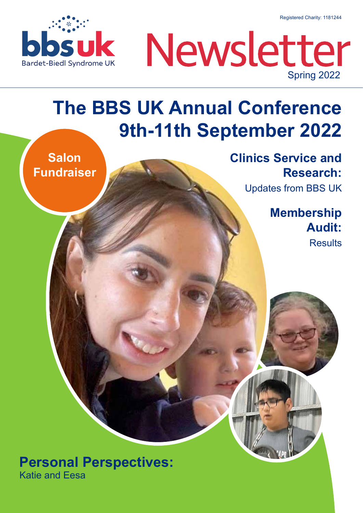Registered Charity: 1181244





### **The BBS UK Annual Conference 9th-11th September 2022**

**Salon Fundraiser** **Clinics Service and Research:**

Updates from BBS UK

**Membership Audit: Results** 

**Personal Perspectives:** Katie and Eesa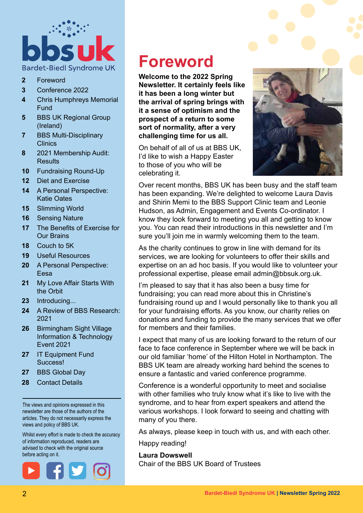

- **2** Foreword
- **3** Conference 2022
- **4** Chris Humphreys Memorial Fund
- **5** BBS UK Regional Group (Ireland)
- **7** BBS Multi-Disciplinary **Clinics**
- **8** 2021 Membership Audit: **Results**
- **10** Fundraising Round-Up
- **12** Diet and Exercise
- **14** A Personal Perspective: Katie Oates
- **15** Slimming World
- **16** Sensing Nature
- **17** The Benefits of Exercise for Our Brains
- **18** Couch to 5K
- **19** Useful Resources
- **20** A Personal Perspective: Eesa
- **21** My Love Affair Starts With the Orbit
- **23** Introducing...
- **24** A Review of BBS Research: 2021
- **26** Birmingham Sight Village Information & Technology Event 2021
- **27** IT Equipment Fund Success!
- **27** BBS Global Day
- **28** Contact Details

The views and opinions expressed in this newsletter are those of the authors of the articles. They do not necessarily express the views and policy of BBS UK.

Whilst every effort is made to check the accuracy of information reproduced, readers are advised to check with the original source before acting on it.



### **Foreword**

**Welcome to the 2022 Spring Newsletter. It certainly feels like it has been a long winter but the arrival of spring brings with it a sense of optimism and the prospect of a return to some sort of normality, after a very challenging time for us all.**

On behalf of all of us at BBS UK, I'd like to wish a Happy Easter to those of you who will be celebrating it.



Over recent months, BBS UK has been busy and the staff team has been expanding. We're delighted to welcome Laura Davis and Shirin Memi to the BBS Support Clinic team and Leonie Hudson, as Admin, Engagement and Events Co-ordinator. I know they look forward to meeting you all and getting to know you. You can read their introductions in this newsletter and I'm sure you'll join me in warmly welcoming them to the team.

As the charity continues to grow in line with demand for its services, we are looking for volunteers to offer their skills and expertise on an ad hoc basis. If you would like to volunteer your professional expertise, please email admin@bbsuk.org.uk.

I'm pleased to say that it has also been a busy time for fundraising; you can read more about this in Christine's fundraising round up and I would personally like to thank you all for your fundraising efforts. As you know, our charity relies on donations and funding to provide the many services that we offer for members and their families.

I expect that many of us are looking forward to the return of our face to face conference in September where we will be back in our old familiar 'home' of the Hilton Hotel in Northampton. The BBS UK team are already working hard behind the scenes to ensure a fantastic and varied conference programme.

Conference is a wonderful opportunity to meet and socialise with other families who truly know what it's like to live with the syndrome, and to hear from expert speakers and attend the various workshops. I look forward to seeing and chatting with many of you there.

As always, please keep in touch with us, and with each other.

Happy reading!

#### **Laura Dowswell**

Chair of the BBS UK Board of Trustees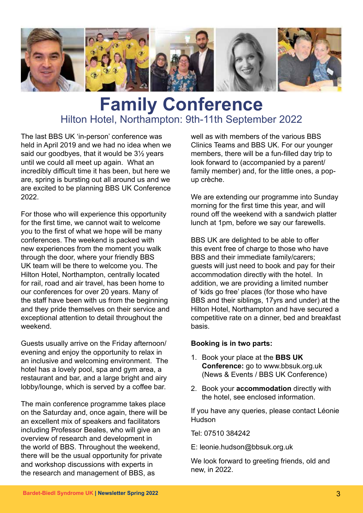

### **Family Conference** Hilton Hotel, Northampton: 9th-11th September 2022

The last BBS UK 'in-person' conference was held in April 2019 and we had no idea when we said our goodbyes, that it would be 3½ years until we could all meet up again. What an incredibly difficult time it has been, but here we are, spring is bursting out all around us and we are excited to be planning BBS UK Conference 2022.

For those who will experience this opportunity for the first time, we cannot wait to welcome you to the first of what we hope will be many conferences. The weekend is packed with new experiences from the moment you walk through the door, where your friendly BBS UK team will be there to welcome you. The Hilton Hotel, Northampton, centrally located for rail, road and air travel, has been home to our conferences for over 20 years. Many of the staff have been with us from the beginning and they pride themselves on their service and exceptional attention to detail throughout the weekend.

Guests usually arrive on the Friday afternoon/ evening and enjoy the opportunity to relax in an inclusive and welcoming environment. The hotel has a lovely pool, spa and gym area, a restaurant and bar, and a large bright and airy lobby/lounge, which is served by a coffee bar.

The main conference programme takes place on the Saturday and, once again, there will be an excellent mix of speakers and facilitators including Professor Beales, who will give an overview of research and development in the world of BBS. Throughout the weekend, there will be the usual opportunity for private and workshop discussions with experts in the research and management of BBS, as

well as with members of the various BBS Clinics Teams and BBS UK. For our younger members, there will be a fun-filled day trip to look forward to (accompanied by a parent/ family member) and, for the little ones, a popup crèche.

We are extending our programme into Sunday morning for the first time this year, and will round off the weekend with a sandwich platter lunch at 1pm, before we say our farewells.

BBS UK are delighted to be able to offer this event free of charge to those who have BBS and their immediate family/carers; guests will just need to book and pay for their accommodation directly with the hotel. In addition, we are providing a limited number of 'kids go free' places (for those who have BBS and their siblings, 17yrs and under) at the Hilton Hotel, Northampton and have secured a competitive rate on a dinner, bed and breakfast basis.

#### **Booking is in two parts:**

- 1. Book your place at the **BBS UK Conference:** go to www.bbsuk.org.uk (News & Events / BBS UK Conference)
- 2. Book your **accommodation** directly with the hotel, see enclosed information.

If you have any queries, please contact Léonie Hudson

Tel: 07510 384242

E: leonie.hudson@bbsuk.org.uk

We look forward to greeting friends, old and new, in 2022.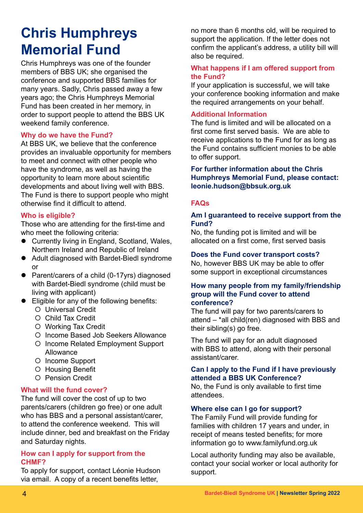### **Chris Humphreys Memorial Fund**

Chris Humphreys was one of the founder members of BBS UK; she organised the conference and supported BBS families for many years. Sadly, Chris passed away a few years ago; the Chris Humphreys Memorial Fund has been created in her memory, in order to support people to attend the BBS UK weekend family conference.

### **Why do we have the Fund?**

At BBS UK, we believe that the conference provides an invaluable opportunity for members to meet and connect with other people who have the syndrome, as well as having the opportunity to learn more about scientific developments and about living well with BBS. The Fund is there to support people who might otherwise find it difficult to attend.

### **Who is eligible?**

Those who are attending for the first-time and who meet the following criteria:

- $\bullet$  Currently living in England, Scotland, Wales, Northern Ireland and Republic of Ireland
- Adult diagnosed with Bardet-Biedl syndrome or
- Parent/carers of a child (0-17yrs) diagnosed with Bardet-Biedl syndrome (child must be living with applicant)
- $\bullet$  Eligible for any of the following benefits:
	- { Universal Credit
	- { Child Tax Credit
	- { Working Tax Credit
	- { Income Based Job Seekers Allowance
	- { Income Related Employment Support Allowance
	- { Income Support
	- { Housing Benefit
	- { Pension Credit

### **What will the fund cover?**

The fund will cover the cost of up to two parents/carers (children go free) or one adult who has BBS and a personal assistant/carer, to attend the conference weekend. This will include dinner, bed and breakfast on the Friday and Saturday nights.

#### **How can I apply for support from the CHMF?**

To apply for support, contact Léonie Hudson via email. A copy of a recent benefits letter,

no more than 6 months old, will be required to support the application. If the letter does not confirm the applicant's address, a utility bill will also be required.

### **What happens if I am offered support from the Fund?**

If your application is successful, we will take your conference booking information and make the required arrangements on your behalf.

### **Additional Information**

The fund is limited and will be allocated on a first come first served basis. We are able to receive applications to the Fund for as long as the Fund contains sufficient monies to be able to offer support.

### **For further information about the Chris Humphreys Memorial Fund, please contact: leonie.hudson@bbsuk.org.uk**

### **FAQs**

### **Am I guaranteed to receive support from the Fund?**

No, the funding pot is limited and will be allocated on a first come, first served basis

#### **Does the Fund cover transport costs?**

No, however BBS UK may be able to offer some support in exceptional circumstances

### **How many people from my family/friendship group will the Fund cover to attend conference?**

The fund will pay for two parents/carers to attend – \*all child(ren) diagnosed with BBS and their sibling(s) go free.

The fund will pay for an adult diagnosed with BBS to attend, along with their personal assistant/carer.

### **Can I apply to the Fund if I have previously attended a BBS UK Conference?**

No, the Fund is only available to first time attendees.

### **Where else can I go for support?**

The Family Fund will provide funding for families with children 17 years and under, in receipt of means tested benefits; for more information go to www.familyfund.org.uk

Local authority funding may also be available, contact your social worker or local authority for support.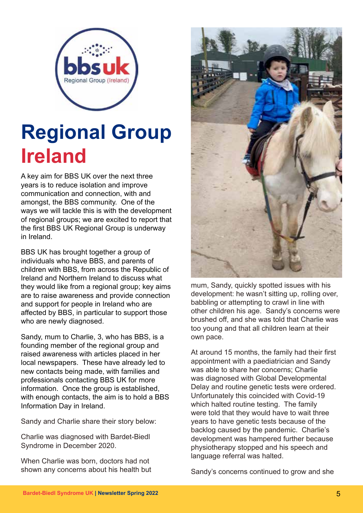

### **Regional Group Ireland**

A key aim for BBS UK over the next three years is to reduce isolation and improve communication and connection, with and amongst, the BBS community. One of the ways we will tackle this is with the development of regional groups; we are excited to report that the first BBS UK Regional Group is underway in Ireland.

BBS UK has brought together a group of individuals who have BBS, and parents of children with BBS, from across the Republic of Ireland and Northern Ireland to discuss what they would like from a regional group; key aims are to raise awareness and provide connection and support for people in Ireland who are affected by BBS, in particular to support those who are newly diagnosed.

Sandy, mum to Charlie, 3, who has BBS, is a founding member of the regional group and raised awareness with articles placed in her local newspapers. These have already led to new contacts being made, with families and professionals contacting BBS UK for more information. Once the group is established, with enough contacts, the aim is to hold a BBS Information Day in Ireland.

Sandy and Charlie share their story below:

Charlie was diagnosed with Bardet-Biedl Syndrome in December 2020.

When Charlie was born, doctors had not shown any concerns about his health but



mum, Sandy, quickly spotted issues with his development: he wasn't sitting up, rolling over, babbling or attempting to crawl in line with other children his age. Sandy's concerns were brushed off, and she was told that Charlie was too young and that all children learn at their own pace.

At around 15 months, the family had their first appointment with a paediatrician and Sandy was able to share her concerns; Charlie was diagnosed with Global Developmental Delay and routine genetic tests were ordered. Unfortunately this coincided with Covid-19 which halted routine testing. The family were told that they would have to wait three years to have genetic tests because of the backlog caused by the pandemic. Charlie's development was hampered further because physiotherapy stopped and his speech and language referral was halted.

Sandy's concerns continued to grow and she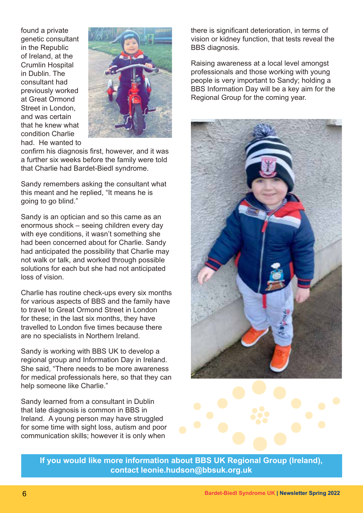found a private genetic consultant in the Republic of Ireland, at the Crumlin Hospital in Dublin. The consultant had previously worked at Great Ormond Street in London, and was certain that he knew what condition Charlie had. He wanted to



confirm his diagnosis first, however, and it was a further six weeks before the family were told that Charlie had Bardet-Biedl syndrome.

Sandy remembers asking the consultant what this meant and he replied, "It means he is going to go blind."

Sandy is an optician and so this came as an enormous shock – seeing children every day with eye conditions, it wasn't something she had been concerned about for Charlie. Sandy had anticipated the possibility that Charlie may not walk or talk, and worked through possible solutions for each but she had not anticipated loss of vision.

Charlie has routine check-ups every six months for various aspects of BBS and the family have to travel to Great Ormond Street in London for these; in the last six months, they have travelled to London five times because there are no specialists in Northern Ireland.

Sandy is working with BBS UK to develop a regional group and Information Day in Ireland. She said, "There needs to be more awareness for medical professionals here, so that they can help someone like Charlie."

Sandy learned from a consultant in Dublin that late diagnosis is common in BBS in Ireland. A young person may have struggled for some time with sight loss, autism and poor communication skills; however it is only when

there is significant deterioration, in terms of vision or kidney function, that tests reveal the BBS diagnosis.

Raising awareness at a local level amongst professionals and those working with young people is very important to Sandy; holding a BBS Information Day will be a key aim for the Regional Group for the coming year.



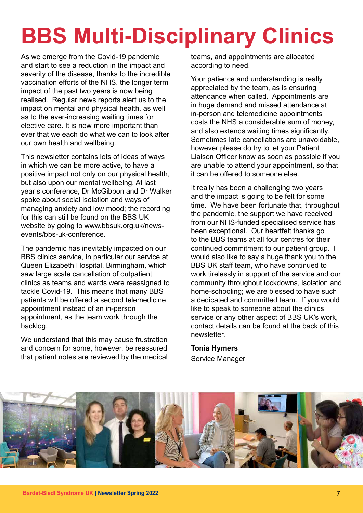# **BBS Multi-Disciplinary Clinics**

As we emerge from the Covid-19 pandemic and start to see a reduction in the impact and severity of the disease, thanks to the incredible vaccination efforts of the NHS, the longer term impact of the past two years is now being realised. Regular news reports alert us to the impact on mental and physical health, as well as to the ever-increasing waiting times for elective care. It is now more important than ever that we each do what we can to look after our own health and wellbeing.

This newsletter contains lots of ideas of ways in which we can be more active, to have a positive impact not only on our physical health, but also upon our mental wellbeing. At last year's conference, Dr McGibbon and Dr Walker spoke about social isolation and ways of managing anxiety and low mood; the recording for this can still be found on the BBS UK website by going to www.bbsuk.org.uk/newsevents/bbs-uk-conference.

The pandemic has inevitably impacted on our BBS clinics service, in particular our service at Queen Elizabeth Hospital, Birmingham, which saw large scale cancellation of outpatient clinics as teams and wards were reassigned to tackle Covid-19. This means that many BBS patients will be offered a second telemedicine appointment instead of an in-person appointment, as the team work through the backlog.

We understand that this may cause frustration and concern for some, however, be reassured that patient notes are reviewed by the medical teams, and appointments are allocated according to need.

Your patience and understanding is really appreciated by the team, as is ensuring attendance when called. Appointments are in huge demand and missed attendance at in-person and telemedicine appointments costs the NHS a considerable sum of money, and also extends waiting times significantly. Sometimes late cancellations are unavoidable, however please do try to let your Patient Liaison Officer know as soon as possible if you are unable to attend your appointment, so that it can be offered to someone else.

It really has been a challenging two years and the impact is going to be felt for some time. We have been fortunate that, throughout the pandemic, the support we have received from our NHS-funded specialised service has been exceptional. Our heartfelt thanks go to the BBS teams at all four centres for their continued commitment to our patient group. I would also like to say a huge thank you to the BBS UK staff team, who have continued to work tirelessly in support of the service and our community throughout lockdowns, isolation and home-schooling; we are blessed to have such a dedicated and committed team. If you would like to speak to someone about the clinics service or any other aspect of BBS UK's work, contact details can be found at the back of this newsletter.

**Tonia Hymers** Service Manager

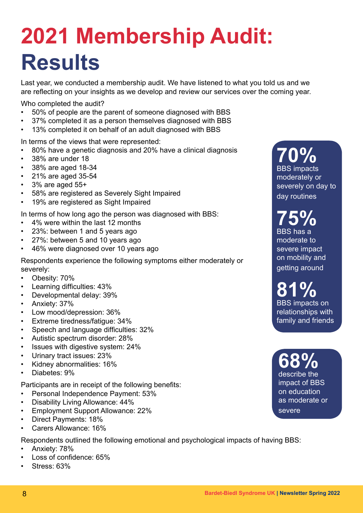## **2021 Membership Audit: Results**

Last year, we conducted a membership audit. We have listened to what you told us and we are reflecting on your insights as we develop and review our services over the coming year.

Who completed the audit?

- 50% of people are the parent of someone diagnosed with BBS
- 37% completed it as a person themselves diagnosed with BBS
- 13% completed it on behalf of an adult diagnosed with BBS

In terms of the views that were represented:

- 80% have a genetic diagnosis and 20% have a clinical diagnosis
- 38% are under 18
- 38% are aged 18-34
- 21% are aged 35-54
- 3% are aged 55+
- 58% are registered as Severely Sight Impaired
- 19% are registered as Sight Impaired

In terms of how long ago the person was diagnosed with BBS:

- 4% were within the last 12 months
- 23%: between 1 and 5 years ago
- 27%: between 5 and 10 years ago
- 46% were diagnosed over 10 years ago

Respondents experience the following symptoms either moderately or severely:

- Obesity: 70%
- Learning difficulties: 43%
- Developmental delay: 39%
- Anxiety: 37%
- Low mood/depression: 36%
- Extreme tiredness/fatigue: 34%
- Speech and language difficulties: 32%
- Autistic spectrum disorder: 28%
- Issues with digestive system: 24%
- Urinary tract issues: 23%
- Kidney abnormalities: 16%
- Diabetes: 9%

Participants are in receipt of the following benefits:

- Personal Independence Payment: 53%
- Disability Living Allowance: 44%
- Employment Support Allowance: 22%
- Direct Payments: 18%
- Carers Allowance: 16%

Respondents outlined the following emotional and psychological impacts of having BBS:

- Anxiety: 78%
- Loss of confidence: 65%
- Stress: 63%

**70%**  BBS impacts moderately or severely on day to day routines

**75%** BBS has a moderate to severe impact on mobility and getting around

**81%** BBS impacts on relationships with family and friends

**68%** describe the impact of BBS on education as moderate or severe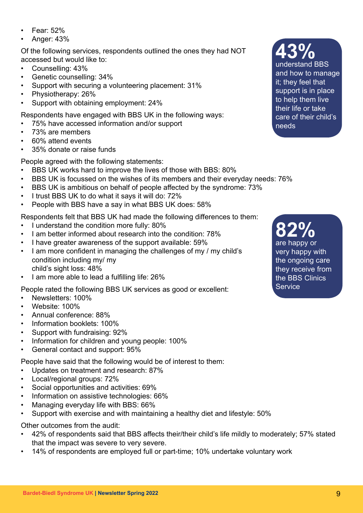- Fear: 52%
- Anger: 43%

Of the following services, respondents outlined the ones they had NOT accessed but would like to:

- Counselling: 43%
- Genetic counselling: 34%
- Support with securing a volunteering placement: 31%
- Physiotherapy: 26%
- Support with obtaining employment: 24%

Respondents have engaged with BBS UK in the following ways:

- 75% have accessed information and/or support
- 73% are members
- 60% attend events
- 35% donate or raise funds

People agreed with the following statements:

- BBS UK works hard to improve the lives of those with BBS: 80%
- BBS UK is focussed on the wishes of its members and their everyday needs: 76%
- BBS UK is ambitious on behalf of people affected by the syndrome: 73%
- I trust BBS UK to do what it says it will do: 72%
- People with BBS have a say in what BBS UK does: 58%

Respondents felt that BBS UK had made the following differences to them:

- I understand the condition more fully: 80%
- I am better informed about research into the condition: 78%
- I have greater awareness of the support available: 59%
- I am more confident in managing the challenges of my / my child's condition including my/ my child's sight loss: 48%
- I am more able to lead a fulfilling life: 26%

People rated the following BBS UK services as good or excellent:

- Newsletters: 100%
- Website: 100%
- Annual conference: 88%
- Information booklets: 100%
- Support with fundraising: 92%
- Information for children and young people: 100%
- General contact and support: 95%

People have said that the following would be of interest to them:

- Updates on treatment and research: 87%
- Local/regional groups: 72%
- Social opportunities and activities: 69%
- Information on assistive technologies: 66%
- Managing everyday life with BBS: 66%
- Support with exercise and with maintaining a healthy diet and lifestyle: 50%

Other outcomes from the audit:

- 42% of respondents said that BBS affects their/their child's life mildly to moderately; 57% stated that the impact was severe to very severe.
- 14% of respondents are employed full or part-time; 10% undertake voluntary work

**82%** are happy or very happy with the ongoing care they receive from the BBS Clinics **Service** 

**Bardet-Biedl Syndrome UK | Newsletter Spring 2022** 9

**43%**

understand BBS and how to manage it; they feel that support is in place to help them live their life or take care of their child's needs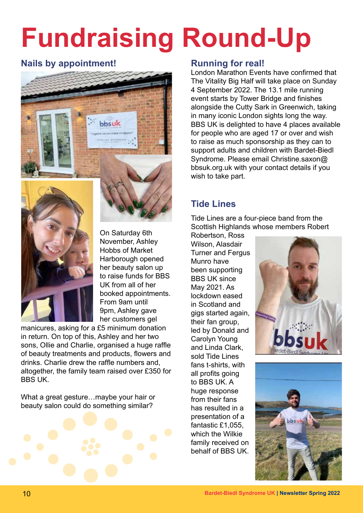# **Fundraising Round-Up**

### **Nails by appointment!** Running for real!





On Saturday 6th November, Ashley Hobbs of Market Harborough opened her beauty salon up to raise funds for BBS UK from all of her booked appointments. From 9am until 9pm, Ashley gave her customers gel

manicures, asking for a £5 minimum donation in return. On top of this, Ashley and her two sons, Ollie and Charlie, organised a huge raffle of beauty treatments and products, flowers and drinks. Charlie drew the raffle numbers and, altogether, the family team raised over £350 for BBS UK.

What a great gesture...maybe your hair or beauty salon could do something similar?



London Marathon Events have confirmed that The Vitality Big Half will take place on Sunday 4 September 2022. The 13.1 mile running event starts by Tower Bridge and finishes alongside the Cutty Sark in Greenwich, taking in many iconic London sights long the way. BBS UK is delighted to have 4 places available for people who are aged 17 or over and wish to raise as much sponsorship as they can to support adults and children with Bardet-Biedl Syndrome. Please email Christine.saxon@ bbsuk.org.uk with your contact details if you wish to take part.

### **Tide Lines**

Tide Lines are a four-piece band from the Scottish Highlands whose members Robert

Robertson, Ross Wilson, Alasdair Turner and Fergus Munro have been supporting BBS UK since May 2021. As lockdown eased in Scotland and gigs started again, their fan group, led by Donald and Carolyn Young and Linda Clark, sold Tide Lines fans t-shirts, with all profits going to BBS UK. A huge response from their fans has resulted in a presentation of a fantastic £1,055, which the Wilkie family received on behalf of BBS UK.



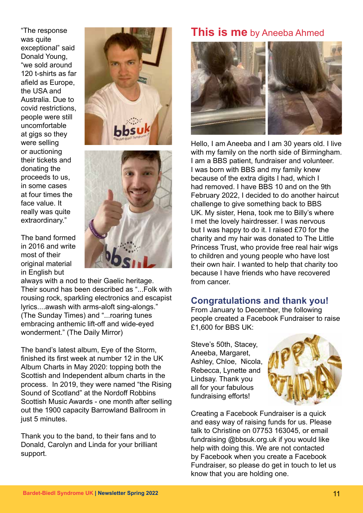"The response was quite exceptional" said Donald Young, "we sold around 120 t-shirts as far afield as Europe, the USA and Australia. Due to covid restrictions, people were still uncomfortable at gigs so they were selling or auctioning their tickets and donating the proceeds to us, in some cases at four times the face value. It really was quite extraordinary."

The band formed in 2016 and write most of their original material in English but





always with a nod to their Gaelic heritage. Their sound has been described as "...Folk with rousing rock, sparkling electronics and escapist lyrics....awash with arms-aloft sing-alongs." (The Sunday Times) and "...roaring tunes embracing anthemic lift-off and wide-eyed wonderment." (The Daily Mirror)

The band's latest album, Eye of the Storm, finished its first week at number 12 in the UK Album Charts in May 2020: topping both the Scottish and Independent album charts in the process. In 2019, they were named "the Rising Sound of Scotland" at the Nordoff Robbins Scottish Music Awards - one month after selling out the 1900 capacity Barrowland Ballroom in just 5 minutes.

Thank you to the band, to their fans and to Donald, Carolyn and Linda for your brilliant support.

### **This is me** by Aneeba Ahmed



Hello, I am Aneeba and I am 30 years old. I live with my family on the north side of Birmingham. I am a BBS patient, fundraiser and volunteer. I was born with BBS and my family knew because of the extra digits I had, which I had removed. I have BBS 10 and on the 9th February 2022, I decided to do another haircut challenge to give something back to BBS UK. My sister, Hena, took me to Billy's where I met the lovely hairdresser. I was nervous but I was happy to do it. I raised £70 for the charity and my hair was donated to The Little Princess Trust, who provide free real hair wigs to children and young people who have lost their own hair. I wanted to help that charity too because I have friends who have recovered from cancer.

### **Congratulations and thank you!**

From January to December, the following people created a Facebook Fundraiser to raise £1,600 for BBS UK:

Steve's 50th, Stacey, Aneeba, Margaret, Ashley, Chloe, Nicola, Rebecca, Lynette and Lindsay. Thank you all for your fabulous fundraising efforts!



Creating a Facebook Fundraiser is a quick and easy way of raising funds for us. Please talk to Christine on 07753 163045, or email fundraising @bbsuk.org.uk if you would like help with doing this. We are not contacted by Facebook when you create a Facebook Fundraiser, so please do get in touch to let us know that you are holding one.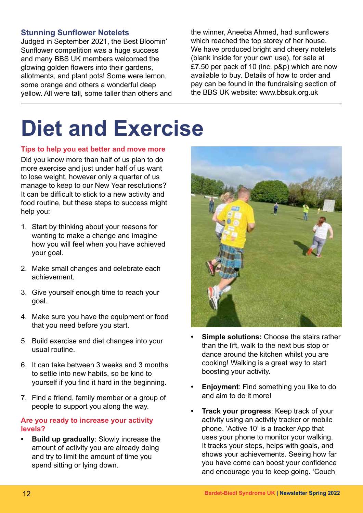### **Stunning Sunflower Notelets**

Judged in September 2021, the Best Bloomin' Sunflower competition was a huge success and many BBS UK members welcomed the glowing golden flowers into their gardens, allotments, and plant pots! Some were lemon, some orange and others a wonderful deep yellow. All were tall, some taller than others and

the winner, Aneeba Ahmed, had sunflowers which reached the top storey of her house. We have produced bright and cheery notelets (blank inside for your own use), for sale at £7.50 per pack of 10 (inc. p&p) which are now available to buy. Details of how to order and pay can be found in the fundraising section of the BBS UK website: www.bbsuk.org.uk

## **Diet and Exercise**

#### **Tips to help you eat better and move more**

Did you know more than half of us plan to do more exercise and just under half of us want to lose weight, however only a quarter of us manage to keep to our New Year resolutions? It can be difficult to stick to a new activity and food routine, but these steps to success might help you:

- 1. Start by thinking about your reasons for wanting to make a change and imagine how you will feel when you have achieved your goal.
- 2. Make small changes and celebrate each achievement.
- 3. Give yourself enough time to reach your goal.
- 4. Make sure you have the equipment or food that you need before you start.
- 5. Build exercise and diet changes into your usual routine.
- 6. It can take between 3 weeks and 3 months to settle into new habits, so be kind to yourself if you find it hard in the beginning.
- 7. Find a friend, family member or a group of people to support you along the way.

#### **Are you ready to increase your activity levels?**

**• Build up gradually**: Slowly increase the amount of activity you are already doing and try to limit the amount of time you spend sitting or lying down.



- **• Simple solutions:** Choose the stairs rather than the lift, walk to the next bus stop or dance around the kitchen whilst you are cooking! Walking is a great way to start boosting your activity.
- **• Enjoyment**: Find something you like to do and aim to do it more!
- **• Track your progress**: Keep track of your activity using an activity tracker or mobile phone. 'Active 10' is a tracker App that uses your phone to monitor your walking. It tracks your steps, helps with goals, and shows your achievements. Seeing how far you have come can boost your confidence and encourage you to keep going. 'Couch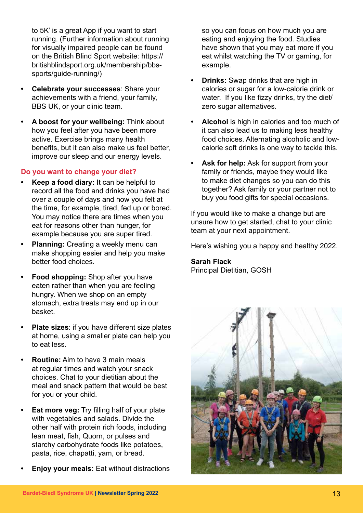to 5K' is a great App if you want to start running. (Further information about running for visually impaired people can be found on the British Blind Sport website: https:// britishblindsport.org.uk/membership/bbssports/guide-running/)

- **• Celebrate your successes**: Share your achievements with a friend, your family, BBS UK, or your clinic team.
- **• A boost for your wellbeing:** Think about how you feel after you have been more active. Exercise brings many health benefits, but it can also make us feel better, improve our sleep and our energy levels.

### **Do you want to change your diet?**

- **• Keep a food diary:** It can be helpful to record all the food and drinks you have had over a couple of days and how you felt at the time, for example, tired, fed up or bored. You may notice there are times when you eat for reasons other than hunger, for example because you are super tired.
- **• Planning:** Creating a weekly menu can make shopping easier and help you make better food choices.
- **• Food shopping:** Shop after you have eaten rather than when you are feeling hungry. When we shop on an empty stomach, extra treats may end up in our basket.
- **• Plate sizes**: if you have different size plates at home, using a smaller plate can help you to eat less.
- **• Routine:** Aim to have 3 main meals at regular times and watch your snack choices. Chat to your dietitian about the meal and snack pattern that would be best for you or your child.
- **Eat more veg:** Try filling half of your plate with vegetables and salads. Divide the other half with protein rich foods, including lean meat, fish, Quorn, or pulses and starchy carbohydrate foods like potatoes, pasta, rice, chapatti, yam, or bread.
- **• Enjoy your meals:** Eat without distractions

so you can focus on how much you are eating and enjoying the food. Studies have shown that you may eat more if you eat whilst watching the TV or gaming, for example.

- **• Drinks:** Swap drinks that are high in calories or sugar for a low-calorie drink or water. If you like fizzy drinks, try the diet/ zero sugar alternatives.
- **• Alcohol** is high in calories and too much of it can also lead us to making less healthy food choices. Alternating alcoholic and lowcalorie soft drinks is one way to tackle this.
- **• Ask for help:** Ask for support from your family or friends, maybe they would like to make diet changes so you can do this together? Ask family or your partner not to buy you food gifts for special occasions.

If you would like to make a change but are unsure how to get started, chat to your clinic team at your next appointment.

Here's wishing you a happy and healthy 2022.

### **Sarah Flack**

Principal Dietitian, GOSH

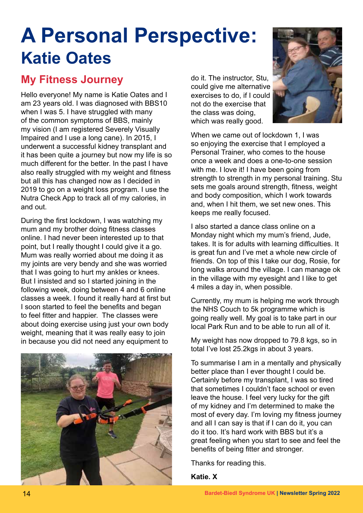### **A Personal Perspective: Katie Oates**

### **My Fitness Journey**

Hello everyone! My name is Katie Oates and I am 23 years old. I was diagnosed with BBS10 when I was 5. I have struggled with many of the common symptoms of BBS, mainly my vision (I am registered Severely Visually Impaired and I use a long cane). In 2015, I underwent a successful kidney transplant and it has been quite a journey but now my life is so much different for the better. In the past I have also really struggled with my weight and fitness but all this has changed now as I decided in 2019 to go on a weight loss program. I use the Nutra Check App to track all of my calories, in and out.

During the first lockdown, I was watching my mum and my brother doing fitness classes online. I had never been interested up to that point, but I really thought I could give it a go. Mum was really worried about me doing it as my joints are very bendy and she was worried that I was going to hurt my ankles or knees. But I insisted and so I started joining in the following week, doing between 4 and 6 online classes a week. I found it really hard at first but I soon started to feel the benefits and began to feel fitter and happier. The classes were about doing exercise using just your own body weight, meaning that it was really easy to join in because you did not need any equipment to



do it. The instructor, Stu, could give me alternative exercises to do, if I could not do the exercise that the class was doing, which was really good.



When we came out of lockdown 1, I was so enjoying the exercise that I employed a Personal Trainer, who comes to the house once a week and does a one-to-one session with me. I love it! I have been going from strength to strength in my personal training. Stu sets me goals around strength, fitness, weight and body composition, which I work towards and, when I hit them, we set new ones. This keeps me really focused.

I also started a dance class online on a Monday night which my mum's friend, Jude, takes. It is for adults with learning difficulties. It is great fun and I've met a whole new circle of friends. On top of this I take our dog, Rosie, for long walks around the village. I can manage ok in the village with my eyesight and I like to get 4 miles a day in, when possible.

Currently, my mum is helping me work through the NHS Couch to 5k programme which is going really well. My goal is to take part in our local Park Run and to be able to run all of it.

My weight has now dropped to 79.8 kgs, so in total I've lost 25.2kgs in about 3 years.

To summarise I am in a mentally and physically better place than I ever thought I could be. Certainly before my transplant, I was so tired that sometimes I couldn't face school or even leave the house. I feel very lucky for the gift of my kidney and I'm determined to make the most of every day. I'm loving my fitness journey and all I can say is that if I can do it, you can do it too. It's hard work with BBS but it's a great feeling when you start to see and feel the benefits of being fitter and stronger.

Thanks for reading this.

**Katie. X**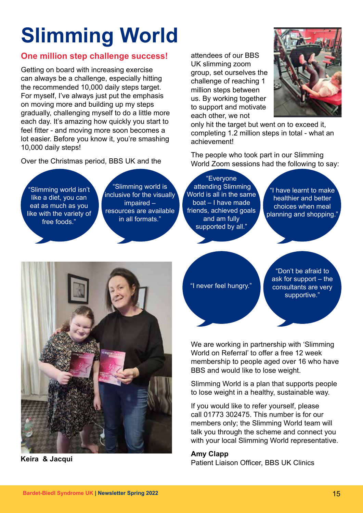# **Slimming World**

### **One million step challenge success!**

Getting on board with increasing exercise can always be a challenge, especially hitting the recommended 10,000 daily steps target. For myself, I've always just put the emphasis on moving more and building up my steps gradually, challenging myself to do a little more each day. It's amazing how quickly you start to feel fitter - and moving more soon becomes a lot easier. Before you know it, you're smashing 10,000 daily steps!

Over the Christmas period, BBS UK and the

attendees of our BBS UK slimming zoom group, set ourselves the challenge of reaching 1 million steps between us. By working together to support and motivate each other, we not



only hit the target but went on to exceed it, completing 1.2 million steps in total - what an achievement!

The people who took part in our Slimming World Zoom sessions had the following to say:

"Slimming world isn't like a diet, you can eat as much as you like with the variety of free foods."

"Slimming world is inclusive for the visually impaired – resources are available in all formats."

"Everyone attending Slimming World is all in the same boat – I have made friends, achieved goals and am fully supported by all.'

 $^{\prime}$ I have learnt to make $^{\prime}$ healthier and better choices when meal planning and shopping."



"Don't be afraid to ask for support – the consultants are very supportive."



We are working in partnership with 'Slimming World on Referral' to offer a free 12 week membership to people aged over 16 who have BBS and would like to lose weight.

Slimming World is a plan that supports people to lose weight in a healthy, sustainable way.

If you would like to refer yourself, please call 01773 302475. This number is for our members only; the Slimming World team will talk you through the scheme and connect you with your local Slimming World representative.

### **Amy Clapp**

Patient Liaison Officer, BBS UK Clinics **Keira & Jacqui**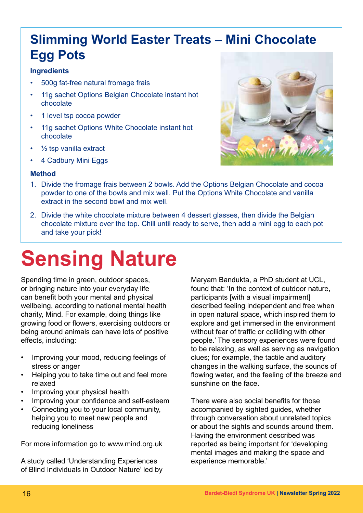### **Slimming World Easter Treats – Mini Chocolate Egg Pots**

### **Ingredients**

- 500g fat-free natural fromage frais
- 11g sachet Options Belgian Chocolate instant hot chocolate
- 1 level tsp cocoa powder
- 11g sachet Options White Chocolate instant hot chocolate
- $\frac{1}{2}$  tsp vanilla extract
- 4 Cadbury Mini Eggs

### **Method**

- 1. Divide the fromage frais between 2 bowls. Add the Options Belgian Chocolate and cocoa powder to one of the bowls and mix well. Put the Options White Chocolate and vanilla extract in the second bowl and mix well.
- 2. Divide the white chocolate mixture between 4 dessert glasses, then divide the Belgian chocolate mixture over the top. Chill until ready to serve, then add a mini egg to each pot and take your pick!

## **Sensing Nature**

Spending time in green, outdoor spaces, or bringing nature into your everyday life can benefit both your mental and physical wellbeing, according to national mental health charity, Mind. For example, doing things like growing food or flowers, exercising outdoors or being around animals can have lots of positive effects, including:

- Improving your mood, reducing feelings of stress or anger
- Helping you to take time out and feel more relaxed
- Improving your physical health
- Improving your confidence and self-esteem
- Connecting you to your local community, helping you to meet new people and reducing loneliness

For more information go to www.mind.org.uk

A study called 'Understanding Experiences of Blind Individuals in Outdoor Nature' led by

Maryam Bandukta, a PhD student at UCL, found that: 'In the context of outdoor nature, participants [with a visual impairment] described feeling independent and free when in open natural space, which inspired them to explore and get immersed in the environment without fear of traffic or colliding with other people.' The sensory experiences were found to be relaxing, as well as serving as navigation clues; for example, the tactile and auditory changes in the walking surface, the sounds of flowing water, and the feeling of the breeze and sunshine on the face.

There were also social benefits for those accompanied by sighted guides, whether through conversation about unrelated topics or about the sights and sounds around them. Having the environment described was reported as being important for 'developing mental images and making the space and experience memorable.'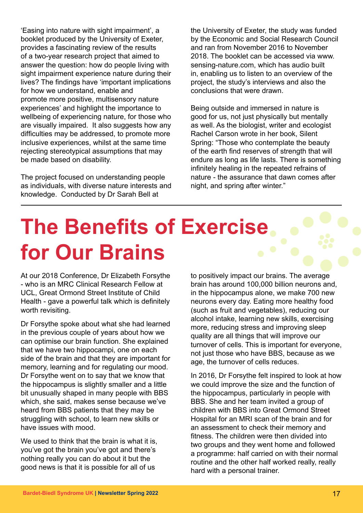'Easing into nature with sight impairment', a booklet produced by the University of Exeter, provides a fascinating review of the results of a two-year research project that aimed to answer the question: how do people living with sight impairment experience nature during their lives? The findings have 'important implications for how we understand, enable and promote more positive, multisensory nature experiences' and highlight the importance to wellbeing of experiencing nature, for those who are visually impaired. It also suggests how any difficulties may be addressed, to promote more inclusive experiences, whilst at the same time rejecting stereotypical assumptions that may be made based on disability.

The project focused on understanding people as individuals, with diverse nature interests and knowledge. Conducted by Dr Sarah Bell at

the University of Exeter, the study was funded by the Economic and Social Research Council and ran from November 2016 to November 2018. The booklet can be accessed via www. sensing-nature.com, which has audio built in, enabling us to listen to an overview of the project, the study's interviews and also the conclusions that were drawn.

Being outside and immersed in nature is good for us, not just physically but mentally as well. As the biologist, writer and ecologist Rachel Carson wrote in her book, Silent Spring: "Those who contemplate the beauty of the earth find reserves of strength that will endure as long as life lasts. There is something infinitely healing in the repeated refrains of nature - the assurance that dawn comes after night, and spring after winter."

## **The Benefits of Exercise for Our Brains**

At our 2018 Conference, Dr Elizabeth Forsythe - who is an MRC Clinical Research Fellow at UCL, Great Ormond Street Institute of Child Health - gave a powerful talk which is definitely worth revisiting.

Dr Forsythe spoke about what she had learned in the previous couple of years about how we can optimise our brain function. She explained that we have two hippocampi, one on each side of the brain and that they are important for memory, learning and for regulating our mood. Dr Forsythe went on to say that we know that the hippocampus is slightly smaller and a little bit unusually shaped in many people with BBS which, she said, makes sense because we've heard from BBS patients that they may be struggling with school, to learn new skills or have issues with mood.

We used to think that the brain is what it is, you've got the brain you've got and there's nothing really you can do about it but the good news is that it is possible for all of us

to positively impact our brains. The average brain has around 100,000 billion neurons and, in the hippocampus alone, we make 700 new neurons every day. Eating more healthy food (such as fruit and vegetables), reducing our alcohol intake, learning new skills, exercising more, reducing stress and improving sleep quality are all things that will improve our turnover of cells. This is important for everyone, not just those who have BBS, because as we age, the turnover of cells reduces.

In 2016, Dr Forsythe felt inspired to look at how we could improve the size and the function of the hippocampus, particularly in people with BBS. She and her team invited a group of children with BBS into Great Ormond Street Hospital for an MRI scan of the brain and for an assessment to check their memory and fitness. The children were then divided into two groups and they went home and followed a programme: half carried on with their normal routine and the other half worked really, really hard with a personal trainer.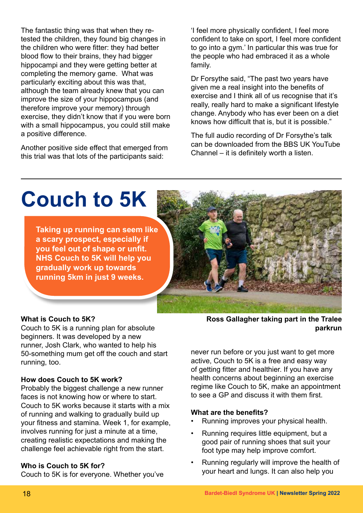The fantastic thing was that when they retested the children, they found big changes in the children who were fitter: they had better blood flow to their brains, they had bigger hippocampi and they were getting better at completing the memory game. What was particularly exciting about this was that, although the team already knew that you can improve the size of your hippocampus (and therefore improve your memory) through exercise, they didn't know that if you were born with a small hippocampus, you could still make a positive difference.

Another positive side effect that emerged from this trial was that lots of the participants said:

'I feel more physically confident, I feel more confident to take on sport, I feel more confident to go into a gym.' In particular this was true for the people who had embraced it as a whole family.

Dr Forsythe said, "The past two years have given me a real insight into the benefits of exercise and I think all of us recognise that it's really, really hard to make a significant lifestyle change. Anybody who has ever been on a diet knows how difficult that is, but it is possible."

The full audio recording of Dr Forsythe's talk can be downloaded from the BBS UK YouTube Channel – it is definitely worth a listen.

### **Couch to 5K**

**Taking up running can seem like a scary prospect, especially if you feel out of shape or unfit. NHS Couch to 5K will help you gradually work up towards running 5km in just 9 weeks.**

### **What is Couch to 5K?**

Couch to 5K is a running plan for absolute beginners. It was developed by a new runner, Josh Clark, who wanted to help his 50-something mum get off the couch and start running, too.

#### **How does Couch to 5K work?**

Probably the biggest challenge a new runner faces is not knowing how or where to start. Couch to 5K works because it starts with a mix of running and walking to gradually build up your fitness and stamina. Week 1, for example, involves running for just a minute at a time, creating realistic expectations and making the challenge feel achievable right from the start.

#### **Who is Couch to 5K for?**

Couch to 5K is for everyone. Whether you've

**Ross Gallagher taking part in the Tralee parkrun**

never run before or you just want to get more active, Couch to 5K is a free and easy way of getting fitter and healthier. If you have any health concerns about beginning an exercise regime like Couch to 5K, make an appointment to see a GP and discuss it with them first.

#### **What are the benefits?**

- Running improves your physical health.
- Running requires little equipment, but a good pair of running shoes that suit your foot type may help improve comfort.
- Running regularly will improve the health of your heart and lungs. It can also help you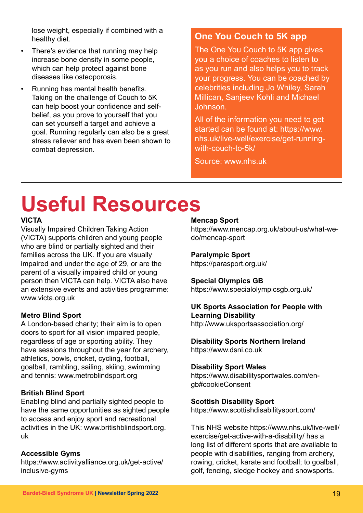lose weight, especially if combined with a healthy diet.

- There's evidence that running may help increase bone density in some people, which can help protect against bone diseases like osteoporosis.
- Running has mental health benefits. Taking on the challenge of Couch to 5K can help boost your confidence and selfbelief, as you prove to yourself that you can set yourself a target and achieve a goal. Running regularly can also be a great stress reliever and has even been shown to combat depression.

### **One You Couch to 5K app**

The One You Couch to 5K app gives you a choice of coaches to listen to as you run and also helps you to track your progress. You can be coached by celebrities including Jo Whiley, Sarah Millican, Sanjeev Kohli and Michael Johnson.

All of the information you need to get started can be found at: https://www. nhs.uk/live-well/exercise/get-runningwith-couch-to-5k/

Source: www.nhs.uk

### **Useful Resources**

### **VICTA**

Visually Impaired Children Taking Action (VICTA) supports children and young people who are blind or partially sighted and their families across the UK. If you are visually impaired and under the age of 29, or are the parent of a visually impaired child or young person then VICTA can help. VICTA also have an extensive events and activities programme: www.victa.org.uk

### **Metro Blind Sport**

A London-based charity; their aim is to open doors to sport for all vision impaired people, regardless of age or sporting ability. They have sessions throughout the year for archery, athletics, bowls, cricket, cycling, football, goalball, rambling, sailing, skiing, swimming and tennis: www.metroblindsport.org

### **British Blind Sport**

Enabling blind and partially sighted people to have the same opportunities as sighted people to access and enjoy sport and recreational activities in the UK: www.britishblindsport.org. uk

### **Accessible Gyms**

https://www.activityalliance.org.uk/get-active/ inclusive-gyms

### **Mencap Sport**

https://www.mencap.org.uk/about-us/what-wedo/mencap-sport

### **Paralympic Sport**

https://parasport.org.uk/

#### **Special Olympics GB**

https://www.specialolympicsgb.org.uk/

### **UK Sports Association for People with Learning Disability**

http://www.uksportsassociation.org/

#### **Disability Sports Northern Ireland**

https://www.dsni.co.uk

#### **Disability Sport Wales**

https://www.disabilitysportwales.com/engb#cookieConsent

#### **Scottish Disability Sport**

https://www.scottishdisabilitysport.com/

This NHS website https://www.nhs.uk/live-well/ exercise/get-active-with-a-disability/ has a long list of different sports that are available to people with disabilities, ranging from archery, rowing, cricket, karate and football; to goalball, golf, fencing, sledge hockey and snowsports.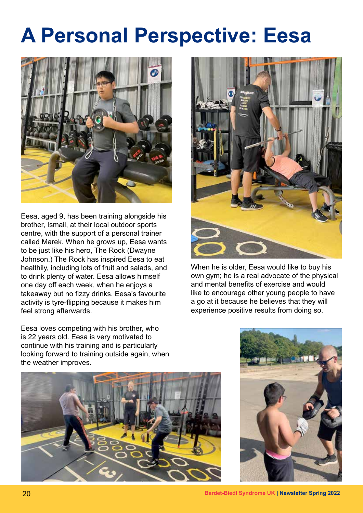### **A Personal Perspective: Eesa**



Eesa, aged 9, has been training alongside his brother, Ismail, at their local outdoor sports centre, with the support of a personal trainer called Marek. When he grows up, Eesa wants to be just like his hero, The Rock (Dwayne Johnson.) The Rock has inspired Eesa to eat healthily, including lots of fruit and salads, and to drink plenty of water. Eesa allows himself one day off each week, when he enjoys a takeaway but no fizzy drinks. Eesa's favourite activity is tyre-flipping because it makes him feel strong afterwards.

Eesa loves competing with his brother, who is 22 years old. Eesa is very motivated to continue with his training and is particularly looking forward to training outside again, when the weather improves.



When he is older, Eesa would like to buy his own gym; he is a real advocate of the physical and mental benefits of exercise and would like to encourage other young people to have a go at it because he believes that they will experience positive results from doing so.



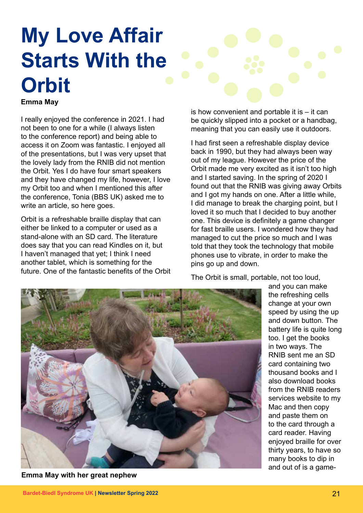## **My Love Affair Starts With the Orbit**

**Emma May**

I really enjoyed the conference in 2021. I had not been to one for a while (I always listen to the conference report) and being able to access it on Zoom was fantastic. I enjoyed all of the presentations, but I was very upset that the lovely lady from the RNIB did not mention the Orbit. Yes I do have four smart speakers and they have changed my life, however, I love my Orbit too and when I mentioned this after the conference, Tonia (BBS UK) asked me to write an article, so here goes.

Orbit is a refreshable braille display that can either be linked to a computer or used as a stand-alone with an SD card. The literature does say that you can read Kindles on it, but I haven't managed that yet; I think I need another tablet, which is something for the future. One of the fantastic benefits of the Orbit is how convenient and portable it is – it can be quickly slipped into a pocket or a handbag, meaning that you can easily use it outdoors.

I had first seen a refreshable display device back in 1990, but they had always been way out of my league. However the price of the Orbit made me very excited as it isn't too high and I started saving. In the spring of 2020 I found out that the RNIB was giving away Orbits and I got my hands on one. After a little while, I did manage to break the charging point, but I loved it so much that I decided to buy another one. This device is definitely a game changer for fast braille users. I wondered how they had managed to cut the price so much and I was told that they took the technology that mobile phones use to vibrate, in order to make the pins go up and down.

The Orbit is small, portable, not too loud,



**Emma May with her great nephew**

and you can make the refreshing cells change at your own speed by using the up and down button. The battery life is quite long too. I get the books in two ways. The RNIB sent me an SD card containing two thousand books and I also download books from the RNIB readers services website to my Mac and then copy and paste them on to the card through a card reader. Having enjoyed braille for over thirty years, to have so many books to dip in and out of is a game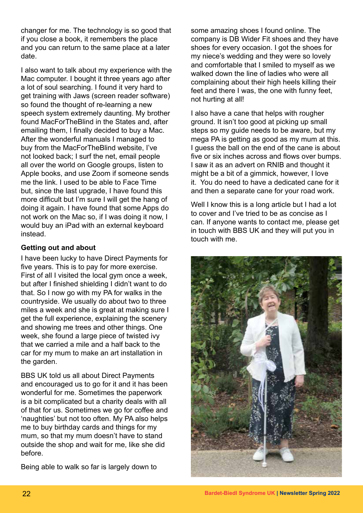changer for me. The technology is so good that if you close a book, it remembers the place and you can return to the same place at a later date.

I also want to talk about my experience with the Mac computer. I bought it three years ago after a lot of soul searching. I found it very hard to get training with Jaws (screen reader software) so found the thought of re-learning a new speech system extremely daunting. My brother found MacForTheBlind in the States and, after emailing them, I finally decided to buy a Mac. After the wonderful manuals I managed to buy from the MacForTheBlind website, I've not looked back; I surf the net, email people all over the world on Google groups, listen to Apple books, and use Zoom if someone sends me the link. I used to be able to Face Time but, since the last upgrade, I have found this more difficult but I'm sure I will get the hang of doing it again. I have found that some Apps do not work on the Mac so, if I was doing it now, I would buy an iPad with an external keyboard instead.

### **Getting out and about**

I have been lucky to have Direct Payments for five years. This is to pay for more exercise. First of all I visited the local gym once a week, but after I finished shielding I didn't want to do that. So I now go with my PA for walks in the countryside. We usually do about two to three miles a week and she is great at making sure I get the full experience, explaining the scenery and showing me trees and other things. One week, she found a large piece of twisted ivy that we carried a mile and a half back to the car for my mum to make an art installation in the garden.

BBS UK told us all about Direct Payments and encouraged us to go for it and it has been wonderful for me. Sometimes the paperwork is a bit complicated but a charity deals with all of that for us. Sometimes we go for coffee and 'naughties' but not too often. My PA also helps me to buy birthday cards and things for my mum, so that my mum doesn't have to stand outside the shop and wait for me, like she did before.

Being able to walk so far is largely down to

some amazing shoes I found online. The company is DB Wider Fit shoes and they have shoes for every occasion. I got the shoes for my niece's wedding and they were so lovely and comfortable that I smiled to myself as we walked down the line of ladies who were all complaining about their high heels killing their feet and there I was, the one with funny feet, not hurting at all!

I also have a cane that helps with rougher ground. It isn't too good at picking up small steps so my guide needs to be aware, but my mega PA is getting as good as my mum at this. I guess the ball on the end of the cane is about five or six inches across and flows over bumps. I saw it as an advert on RNIB and thought it might be a bit of a gimmick, however, I love it. You do need to have a dedicated cane for it and then a separate cane for your road work.

Well I know this is a long article but I had a lot to cover and I've tried to be as concise as I can. If anyone wants to contact me, please get in touch with BBS UK and they will put you in touch with me.

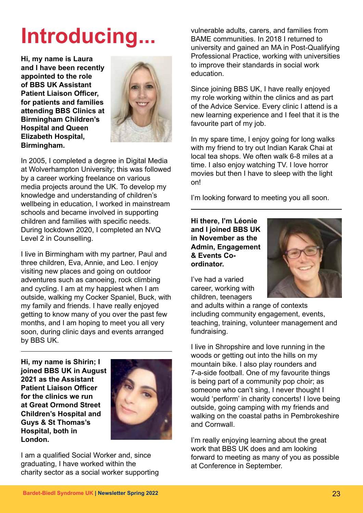**Hi, my name is Laura and I have been recently appointed to the role of BBS UK Assistant Patient Liaison Officer, for patients and families attending BBS Clinics at Birmingham Children's Hospital and Queen Elizabeth Hospital, Birmingham.**



In 2005, I completed a degree in Digital Media at Wolverhampton University; this was followed by a career working freelance on various media projects around the UK. To develop my knowledge and understanding of children's wellbeing in education, I worked in mainstream schools and became involved in supporting children and families with specific needs. During lockdown 2020, I completed an NVQ Level 2 in Counselling.

I live in Birmingham with my partner, Paul and three children, Eva, Annie, and Leo. I enjoy visiting new places and going on outdoor adventures such as canoeing, rock climbing and cycling. I am at my happiest when I am outside, walking my Cocker Spaniel, Buck, with my family and friends. I have really enjoyed getting to know many of you over the past few months, and I am hoping to meet you all very soon, during clinic days and events arranged by BBS UK.

**Hi, my name is Shirin; I joined BBS UK in August 2021 as the Assistant Patient Liaison Officer for the clinics we run at Great Ormond Street Children's Hospital and Guys & St Thomas's Hospital, both in London.** 



I am a qualified Social Worker and, since graduating, I have worked within the charity sector as a social worker supporting

Introducing... **Vulnerable adults, carers, and families from** BAME communities. In 2018 I returned to university and gained an MA in Post-Qualifying Professional Practice, working with universities to improve their standards in social work education.

> Since joining BBS UK, I have really enjoyed my role working within the clinics and as part of the Advice Service. Every clinic I attend is a new learning experience and I feel that it is the favourite part of my job.

In my spare time, I enjoy going for long walks with my friend to try out Indian Karak Chai at local tea shops. We often walk 6-8 miles at a time. I also enjoy watching TV. I love horror movies but then I have to sleep with the light on!

I'm looking forward to meeting you all soon.

**Hi there, I'm Léonie and I joined BBS UK in November as the Admin, Engagement & Events Coordinator.** 

I've had a varied career, working with children, teenagers



and adults within a range of contexts including community engagement, events, teaching, training, volunteer management and fundraising.

I live in Shropshire and love running in the woods or getting out into the hills on my mountain bike. I also play rounders and 7-a-side football. One of my favourite things is being part of a community pop choir; as someone who can't sing, I never thought I would 'perform' in charity concerts! I love being outside, going camping with my friends and walking on the coastal paths in Pembrokeshire and Cornwall.

I'm really enjoying learning about the great work that BBS UK does and am looking forward to meeting as many of you as possible at Conference in September.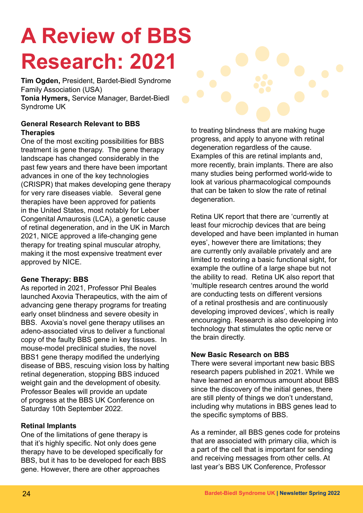## **A Review of BBS Research: 2021**

**Tim Ogden,** President, Bardet-Biedl Syndrome Family Association (USA) **Tonia Hymers,** Service Manager, Bardet-Biedl Syndrome UK

### **General Research Relevant to BBS Therapies**

One of the most exciting possibilities for BBS treatment is gene therapy. The gene therapy landscape has changed considerably in the past few years and there have been important advances in one of the key technologies (CRISPR) that makes developing gene therapy for very rare diseases viable. Several gene therapies have been approved for patients in the United States, most notably for Leber Congenital Amaurosis (LCA), a genetic cause of retinal degeneration, and in the UK in March 2021, NICE approved a life-changing gene therapy for treating spinal muscular atrophy, making it the most expensive treatment ever approved by NICE.

### **Gene Therapy: BBS**

As reported in 2021, Professor Phil Beales launched Axovia Therapeutics, with the aim of advancing gene therapy programs for treating early onset blindness and severe obesity in BBS. Axovia's novel gene therapy utilises an adeno-associated virus to deliver a functional copy of the faulty BBS gene in key tissues. In mouse-model preclinical studies, the novel BBS1 gene therapy modified the underlying disease of BBS, rescuing vision loss by halting retinal degeneration, stopping BBS induced weight gain and the development of obesity. Professor Beales will provide an update of progress at the BBS UK Conference on Saturday 10th September 2022.

### **Retinal Implants**

One of the limitations of gene therapy is that it's highly specific. Not only does gene therapy have to be developed specifically for BBS, but it has to be developed for each BBS gene. However, there are other approaches

to treating blindness that are making huge progress, and apply to anyone with retinal degeneration regardless of the cause. Examples of this are retinal implants and, more recently, brain implants. There are also many studies being performed world-wide to look at various pharmacological compounds that can be taken to slow the rate of retinal degeneration.

Retina UK report that there are 'currently at least four microchip devices that are being developed and have been implanted in human eyes', however there are limitations; they are currently only available privately and are limited to restoring a basic functional sight, for example the outline of a large shape but not the ability to read. Retina UK also report that 'multiple research centres around the world are conducting tests on different versions of a retinal prosthesis and are continuously developing improved devices', which is really encouraging. Research is also developing into technology that stimulates the optic nerve or the brain directly.

### **New Basic Research on BBS**

There were several important new basic BBS research papers published in 2021. While we have learned an enormous amount about BBS since the discovery of the initial genes, there are still plenty of things we don't understand, including why mutations in BBS genes lead to the specific symptoms of BBS.

As a reminder, all BBS genes code for proteins that are associated with primary cilia, which is a part of the cell that is important for sending and receiving messages from other cells. At last year's BBS UK Conference, Professor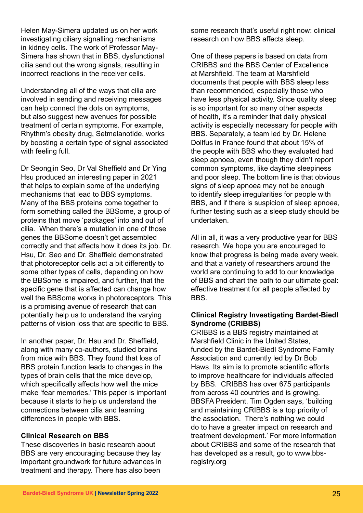Helen May-Simera updated us on her work investigating ciliary signalling mechanisms in kidney cells. The work of Professor May-Simera has shown that in BBS, dysfunctional cilia send out the wrong signals, resulting in incorrect reactions in the receiver cells.

Understanding all of the ways that cilia are involved in sending and receiving messages can help connect the dots on symptoms, but also suggest new avenues for possible treatment of certain symptoms. For example, Rhythm's obesity drug, Setmelanotide, works by boosting a certain type of signal associated with feeling full.

Dr Seongjin Seo, Dr Val Sheffield and Dr Ying Hsu produced an interesting paper in 2021 that helps to explain some of the underlying mechanisms that lead to BBS symptoms. Many of the BBS proteins come together to form something called the BBSome, a group of proteins that move 'packages' into and out of cilia. When there's a mutation in one of those genes the BBSome doesn't get assembled correctly and that affects how it does its job. Dr. Hsu, Dr. Seo and Dr. Sheffield demonstrated that photoreceptor cells act a bit differently to some other types of cells, depending on how the BBSome is impaired, and further, that the specific gene that is affected can change how well the BBSome works in photoreceptors. This is a promising avenue of research that can potentially help us to understand the varying patterns of vision loss that are specific to BBS.

In another paper, Dr. Hsu and Dr. Sheffield, along with many co-authors, studied brains from mice with BBS. They found that loss of BBS protein function leads to changes in the types of brain cells that the mice develop, which specifically affects how well the mice make 'fear memories.' This paper is important because it starts to help us understand the connections between cilia and learning differences in people with BBS.

#### **Clinical Research on BBS**

These discoveries in basic research about BBS are very encouraging because they lay important groundwork for future advances in treatment and therapy. There has also been

some research that's useful right now: clinical research on how BBS affects sleep.

One of these papers is based on data from CRIBBS and the BBS Center of Excellence at Marshfield. The team at Marshfield documents that people with BBS sleep less than recommended, especially those who have less physical activity. Since quality sleep is so important for so many other aspects of health, it's a reminder that daily physical activity is especially necessary for people with BBS. Separately, a team led by Dr. Helene Dollfus in France found that about 15% of the people with BBS who they evaluated had sleep apnoea, even though they didn't report common symptoms, like daytime sleepiness and poor sleep. The bottom line is that obvious signs of sleep apnoea may not be enough to identify sleep irregularities for people with BBS, and if there is suspicion of sleep apnoea, further testing such as a sleep study should be undertaken.

All in all, it was a very productive year for BBS research. We hope you are encouraged to know that progress is being made every week, and that a variety of researchers around the world are continuing to add to our knowledge of BBS and chart the path to our ultimate goal: effective treatment for all people affected by BBS.

#### **Clinical Registry Investigating Bardet-Biedl Syndrome (CRIBBS)**

CRIBBS is a BBS registry maintained at Marshfield Clinic in the United States, funded by the Bardet-Biedl Syndrome Family Association and currently led by Dr Bob Haws. Its aim is to promote scientific efforts to improve healthcare for individuals affected by BBS. CRIBBS has over 675 participants from across 40 countries and is growing. BBSFA President, Tim Ogden says, 'building and maintaining CRIBBS is a top priority of the association. There's nothing we could do to have a greater impact on research and treatment development.' For more information about CRIBBS and some of the research that has developed as a result, go to www.bbsregistry.org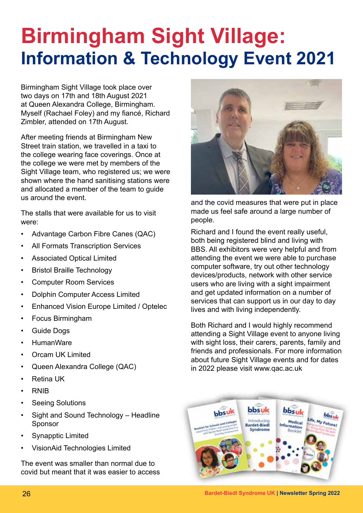### **Birmingham Sight Village: Information & Technology Event 2021**

Birmingham Sight Village took place over two days on 17th and 18th August 2021 at Queen Alexandra College, Birmingham. Myself (Rachael Foley) and my fiancé, Richard Zimbler, attended on 17th August.

After meeting friends at Birmingham New Street train station, we travelled in a taxi to the college wearing face coverings. Once at the college we were met by members of the Sight Village team, who registered us; we were shown where the hand sanitising stations were and allocated a member of the team to guide us around the event.

The stalls that were available for us to visit were:

- Advantage Carbon Fibre Canes (QAC)
- All Formats Transcription Services
- Associated Optical Limited
- Bristol Braille Technology
- Computer Room Services
- Dolphin Computer Access Limited
- Enhanced Vision Europe Limited / Optelec
- Focus Birmingham
- Guide Dogs
- HumanWare
- Orcam UK Limited
- Queen Alexandra College (QAC)
- Retina UK
- RNIB
- Seeing Solutions
- Sight and Sound Technology Headline Sponsor
- Synapptic Limited
- VisionAid Technologies Limited

The event was smaller than normal due to covid but meant that it was easier to access



and the covid measures that were put in place made us feel safe around a large number of people.

Richard and I found the event really useful, both being registered blind and living with BBS. All exhibitors were very helpful and from attending the event we were able to purchase computer software, try out other technology devices/products, network with other service users who are living with a sight impairment and get updated information on a number of services that can support us in our day to day lives and with living independently.

Both Richard and I would highly recommend attending a Sight Village event to anyone living with sight loss, their carers, parents, family and friends and professionals. For more information about future Sight Village events and for dates in 2022 please visit www.qac.ac.uk



26 **Bardet-Biedl Syndrome UK | Newsletter Spring 2022**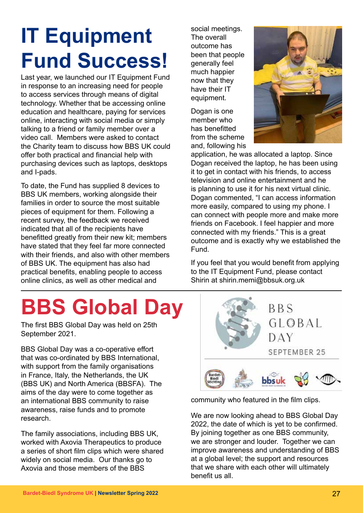### **IT Equipment Fund Success!**

Last year, we launched our IT Equipment Fund in response to an increasing need for people to access services through means of digital technology. Whether that be accessing online education and healthcare, paying for services online, interacting with social media or simply talking to a friend or family member over a video call. Members were asked to contact the Charity team to discuss how BBS UK could offer both practical and financial help with purchasing devices such as laptops, desktops and I-pads.

To date, the Fund has supplied 8 devices to BBS UK members, working alongside their families in order to source the most suitable pieces of equipment for them. Following a recent survey, the feedback we received indicated that all of the recipients have benefitted greatly from their new kit; members have stated that they feel far more connected with their friends, and also with other members of BBS UK. The equipment has also had practical benefits, enabling people to access online clinics, as well as other medical and

**BBS Global Day** 

The first BBS Global Day was held on 25th September 2021.

BBS Global Day was a co-operative effort that was co-ordinated by BBS International, with support from the family organisations in France, Italy, the Netherlands, the UK (BBS UK) and North America (BBSFA). The aims of the day were to come together as an international BBS community to raise awareness, raise funds and to promote research.

The family associations, including BBS UK, worked with Axovia Therapeutics to produce a series of short film clips which were shared widely on social media. Our thanks go to Axovia and those members of the BBS

social meetings. The overall outcome has been that people generally feel much happier now that they have their IT equipment.

Dogan is one member who has benefitted from the scheme and, following his



application, he was allocated a laptop. Since Dogan received the laptop, he has been using it to get in contact with his friends, to access television and online entertainment and he is planning to use it for his next virtual clinic. Dogan commented, "I can access information more easily, compared to using my phone. I can connect with people more and make more friends on Facebook. I feel happier and more connected with my friends." This is a great outcome and is exactly why we established the Fund.

If you feel that you would benefit from applying to the IT Equipment Fund, please contact Shirin at shirin.memi@bbsuk.org.uk



community who featured in the film clips.

We are now looking ahead to BBS Global Day 2022, the date of which is yet to be confirmed. By joining together as one BBS community, we are stronger and louder. Together we can improve awareness and understanding of BBS at a global level; the support and resources that we share with each other will ultimately benefit us all.